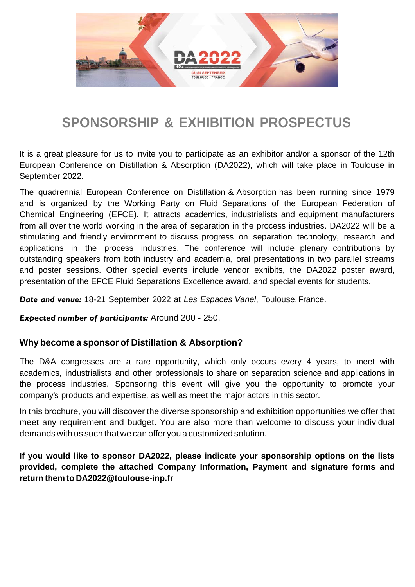

## **SPONSORSHIP & EXHIBITION PROSPECTUS**

It is a great pleasure for us to invite you to participate as an exhibitor and/or a sponsor of the 12th European Conference on Distillation & Absorption (DA2022), which will take place in Toulouse in September 2022.

The quadrennial European Conference on Distillation & Absorption has been running since 1979 and is organized by the Working Party on Fluid Separations of the European Federation of Chemical Engineering (EFCE). It attracts academics, industrialists and equipment manufacturers from all over the world working in the area of separation in the process industries. DA2022 will be a stimulating and friendly environment to discuss progress on separation technology, research and applications in the process industries. The conference will include plenary contributions by outstanding speakers from both industry and academia, oral presentations in two parallel streams and poster sessions. Other special events include vendor exhibits, the DA2022 poster award, presentation of the EFCE Fluid Separations Excellence award, and special events for students.

*Date and venue:* 18-21 September 2022 at *Les Espaces Vanel*, Toulouse, France.

*Expected number of participants:* Around 200 - 250.

#### **Why become a sponsor of Distillation & Absorption?**

The D&A congresses are a rare opportunity, which only occurs every 4 years, to meet with academics, industrialists and other professionals to share on separation science and applications in the process industries. Sponsoring this event will give you the opportunity to promote your company's products and expertise, as well as meet the major actors in this sector.

In this brochure, you will discover the diverse sponsorship and exhibition opportunities we offer that meet any requirement and budget. You are also more than welcome to discuss your individual demands with us such that we can offer you a customized solution.

**If you would like to sponsor DA2022, please indicate your sponsorship options on the lists provided, complete the attached Company Information, Payment and signature forms and return them to DA2022@toulouse-inp.fr**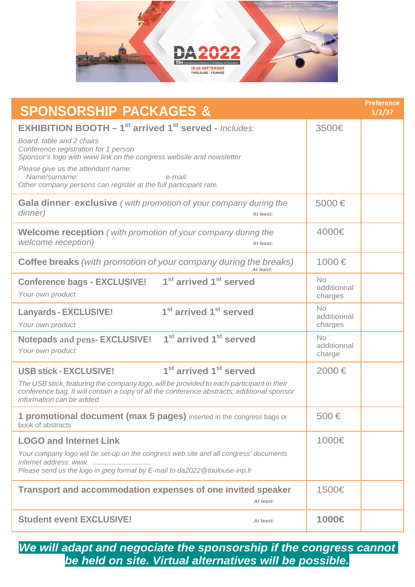

| <b>SPONSORSHIP PACKAGES &amp;</b>                                                                                                                                                                                                                                                                      |                                     | <b>Preference</b><br>1/2/3? |
|--------------------------------------------------------------------------------------------------------------------------------------------------------------------------------------------------------------------------------------------------------------------------------------------------------|-------------------------------------|-----------------------------|
| <b>EXHIBITION BOOTH - 1<sup>st</sup> arrived 1<sup>st</sup> served - Includes:</b>                                                                                                                                                                                                                     | 3500€                               |                             |
| Board, table and 2 chairs<br>Conference registration for 1 person<br>Sponsor's logo with www link on the congress website and newsletter                                                                                                                                                               |                                     |                             |
| Please give us the attendant name:<br>Name/surname:<br>e-mail:<br>Other company persons can register at the full participant rate.                                                                                                                                                                     |                                     |                             |
| <b>Gala dinner exclusive</b> (with promotion of your company during the<br>dinner)<br>At least:                                                                                                                                                                                                        | 5000€                               |                             |
| <b>Welcome reception</b> (with promotion of your company during the<br>welcome reception)<br>At least:                                                                                                                                                                                                 | 4000€                               |                             |
| <b>Coffee breaks</b> (with promotion of your company during the breaks)<br>At least:                                                                                                                                                                                                                   | 1000€                               |                             |
| 1 <sup>st</sup> arrived 1 <sup>st</sup> served<br><b>Conference bags - EXCLUSIVE!</b><br>Your own product                                                                                                                                                                                              | <b>No</b><br>additionnal<br>charges |                             |
| 1 <sup>st</sup> arrived 1 <sup>st</sup> served<br><b>Lanyards - EXCLUSIVE!</b><br>Your own product                                                                                                                                                                                                     | No<br>additionnal<br>charges        |                             |
| Notepads and pens-EXCLUSIVE! 1 <sup>st</sup> arrived 1 <sup>st</sup> served<br>Your own product                                                                                                                                                                                                        | No<br>additionnal<br>charge         |                             |
| 1 <sup>st</sup> arrived 1 <sup>st</sup> served<br><b>USB stick - EXCLUSIVE!</b><br>The USB stick, featuring the company logo, will be provided to each participant in their<br>conference bag. It will contain a copy of all the conference abstracts; additional sponsor<br>information can be added. | 2000€                               |                             |
| 1 promotional document (max 5 pages) inserted in the congress bags or<br>book of abstracts                                                                                                                                                                                                             | 500€                                |                             |
| <b>LOGO and Internet Link</b>                                                                                                                                                                                                                                                                          | 1000€                               |                             |
| Your company logo will be set-up on the congress web site and all congress' documents<br>Please send us the logo in jpeg format by E-mail to da2022@toulouse-inp.fr                                                                                                                                    |                                     |                             |
| Transport and accommodation expenses of one invited speaker<br>At least:                                                                                                                                                                                                                               | 1500€                               |                             |
| <b>Student event EXCLUSIVE!</b><br>At least:                                                                                                                                                                                                                                                           | 1000€                               |                             |

*We will adapt and negociate the sponsorship if the congress cannot be held on site. Virtual alternatives will be possible.*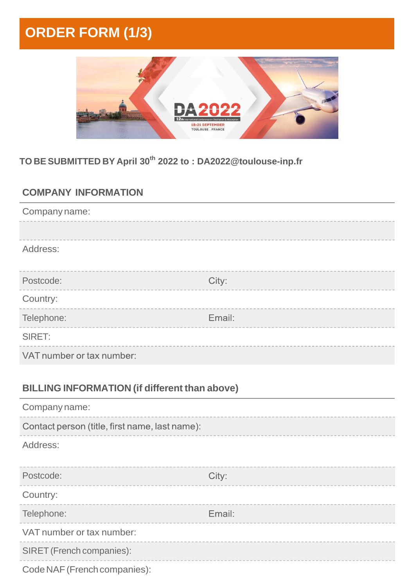# **ORDER FORM (1/3)**



### **TO BE SUBMITTED BY April 30th 2022 to : DA2022@toulouse-inp.fr**

### **COMPANY INFORMATION**

| Company name:                                        |        |
|------------------------------------------------------|--------|
| Address:                                             |        |
| Postcode:                                            | City:  |
| Country:                                             |        |
| Telephone:                                           | Email: |
| SIRET:                                               |        |
| VAT number or tax number:                            |        |
| <b>BILLING INFORMATION (if different than above)</b> |        |
| Company name:                                        |        |
| Contact person (title, first name, last name):       |        |
| Address:                                             |        |
| Postcode:                                            | City:  |
| Country:                                             |        |
| Telephone:                                           | Email: |
| VAT number or tax number:                            |        |
|                                                      |        |
| SIRET (French companies):                            |        |

Code NAF (French companies):